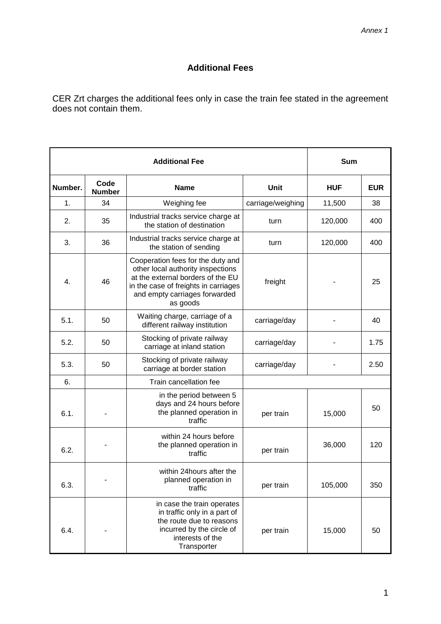## **Additional Fees**

CER Zrt charges the additional fees only in case the train fee stated in the agreement does not contain them.

|         | Sum                   |                                                                                                                                                                                                  |                   |            |            |
|---------|-----------------------|--------------------------------------------------------------------------------------------------------------------------------------------------------------------------------------------------|-------------------|------------|------------|
| Number. | Code<br><b>Number</b> | <b>Name</b>                                                                                                                                                                                      | Unit              | <b>HUF</b> | <b>EUR</b> |
| 1.      | 34                    | Weighing fee                                                                                                                                                                                     | carriage/weighing | 11,500     | 38         |
| 2.      | 35                    | Industrial tracks service charge at<br>the station of destination                                                                                                                                | turn              | 120,000    | 400        |
| 3.      | 36                    | Industrial tracks service charge at<br>the station of sending                                                                                                                                    | turn              | 120,000    | 400        |
| 4.      | 46                    | Cooperation fees for the duty and<br>other local authority inspections<br>at the external borders of the EU<br>in the case of freights in carriages<br>and empty carriages forwarded<br>as goods | freight           |            | 25         |
| 5.1.    | 50                    | Waiting charge, carriage of a<br>different railway institution                                                                                                                                   | carriage/day      |            | 40         |
| 5.2.    | 50                    | Stocking of private railway<br>carriage at inland station                                                                                                                                        | carriage/day      |            | 1.75       |
| 5.3.    | 50                    | Stocking of private railway<br>carriage at border station                                                                                                                                        | carriage/day      |            | 2.50       |
| 6.      |                       | Train cancellation fee                                                                                                                                                                           |                   |            |            |
| 6.1.    |                       | in the period between 5<br>days and 24 hours before<br>the planned operation in<br>traffic                                                                                                       | per train         | 15,000     | 50         |
| 6.2.    |                       | within 24 hours before<br>the planned operation in<br>traffic                                                                                                                                    | per train         | 36,000     | 120        |
| 6.3.    |                       | within 24 hours after the<br>planned operation in<br>traffic                                                                                                                                     | per train         | 105,000    | 350        |
| 6.4.    |                       | in case the train operates<br>in traffic only in a part of<br>the route due to reasons<br>incurred by the circle of<br>interests of the<br>Transporter                                           | per train         | 15,000     | 50         |